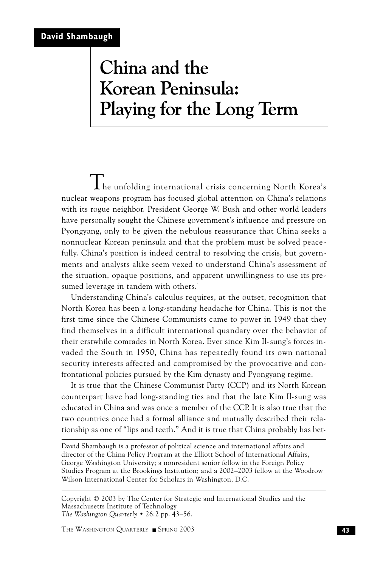# **China and the Korean Peninsula: Playing for the Long Term**

The unfolding international crisis concerning North Korea's nuclear weapons program has focused global attention on China's relations with its rogue neighbor. President George W. Bush and other world leaders have personally sought the Chinese government's influence and pressure on Pyongyang, only to be given the nebulous reassurance that China seeks a nonnuclear Korean peninsula and that the problem must be solved peacefully. China's position is indeed central to resolving the crisis, but governments and analysts alike seem vexed to understand China's assessment of the situation, opaque positions, and apparent unwillingness to use its presumed leverage in tandem with others.<sup>1</sup>

Understanding China's calculus requires, at the outset, recognition that North Korea has been a long-standing headache for China. This is not the first time since the Chinese Communists came to power in 1949 that they find themselves in a difficult international quandary over the behavior of their erstwhile comrades in North Korea. Ever since Kim Il-sung's forces invaded the South in 1950, China has repeatedly found its own national security interests affected and compromised by the provocative and confrontational policies pursued by the Kim dynasty and Pyongyang regime.

It is true that the Chinese Communist Party (CCP) and its North Korean counterpart have had long-standing ties and that the late Kim Il-sung was educated in China and was once a member of the CCP. It is also true that the two countries once had a formal alliance and mutually described their relationship as one of "lips and teeth." And it is true that China probably has bet-

David Shambaugh is a professor of political science and international affairs and director of the China Policy Program at the Elliott School of International Affairs, George Washington University; a nonresident senior fellow in the Foreign Policy Studies Program at the Brookings Institution; and a 2002–2003 fellow at the Woodrow Wilson International Center for Scholars in Washington, D.C.

Copyright © 2003 by The Center for Strategic and International Studies and the Massachusetts Institute of Technology *The Washington Quarterly* • 26:2 pp. 43–56.

THE WASHINGTON QUARTERLY ■ SPRING 2003 **43**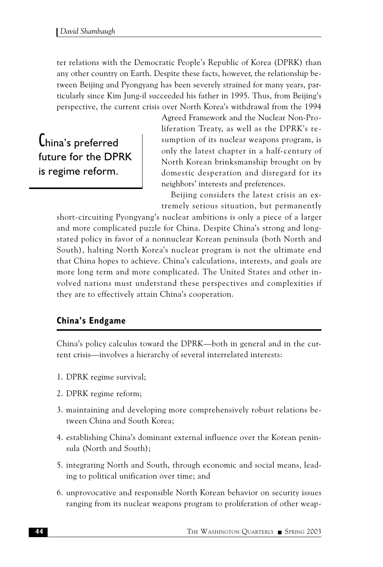ter relations with the Democratic People's Republic of Korea (DPRK) than any other country on Earth. Despite these facts, however, the relationship between Beijing and Pyongyang has been severely strained for many years, particularly since Kim Jung-il succeeded his father in 1995. Thus, from Beijing's perspective, the current crisis over North Korea's withdrawal from the 1994

China's preferred future for the DPRK is regime reform.

Agreed Framework and the Nuclear Non-Proliferation Treaty, as well as the DPRK's resumption of its nuclear weapons program, is only the latest chapter in a half-century of North Korean brinksmanship brought on by domestic desperation and disregard for its neighbors' interests and preferences.

Beijing considers the latest crisis an extremely serious situation, but permanently

short-circuiting Pyongyang's nuclear ambitions is only a piece of a larger and more complicated puzzle for China. Despite China's strong and longstated policy in favor of a nonnuclear Korean peninsula (both North and South), halting North Korea's nuclear program is not the ultimate end that China hopes to achieve. China's calculations, interests, and goals are more long term and more complicated. The United States and other involved nations must understand these perspectives and complexities if they are to effectively attain China's cooperation.

# **China's Endgame**

China's policy calculus toward the DPRK—both in general and in the current crisis—involves a hierarchy of several interrelated interests:

- 1. DPRK regime survival;
- 2. DPRK regime reform;
- 3. maintaining and developing more comprehensively robust relations between China and South Korea;
- 4. establishing China's dominant external influence over the Korean peninsula (North and South);
- 5. integrating North and South, through economic and social means, leading to political unification over time; and
- 6. unprovocative and responsible North Korean behavior on security issues ranging from its nuclear weapons program to proliferation of other weap-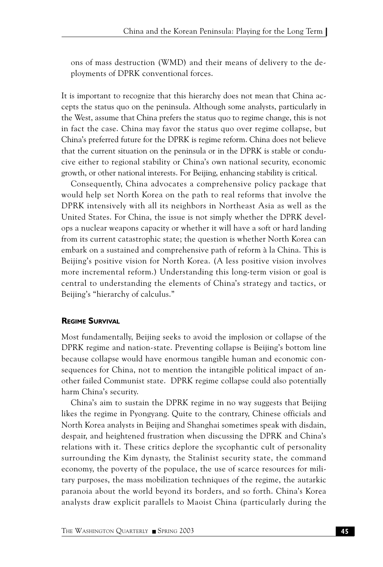ons of mass destruction (WMD) and their means of delivery to the deployments of DPRK conventional forces.

It is important to recognize that this hierarchy does not mean that China accepts the status quo on the peninsula. Although some analysts, particularly in the West, assume that China prefers the status quo to regime change, this is not in fact the case. China may favor the status quo over regime collapse, but China's preferred future for the DPRK is regime reform. China does not believe that the current situation on the peninsula or in the DPRK is stable or conducive either to regional stability or China's own national security, economic growth, or other national interests. For Beijing, enhancing stability is critical.

Consequently, China advocates a comprehensive policy package that would help set North Korea on the path to real reforms that involve the DPRK intensively with all its neighbors in Northeast Asia as well as the United States. For China, the issue is not simply whether the DPRK develops a nuclear weapons capacity or whether it will have a soft or hard landing from its current catastrophic state; the question is whether North Korea can embark on a sustained and comprehensive path of reform à la China. This is Beijing's positive vision for North Korea. (A less positive vision involves more incremental reform.) Understanding this long-term vision or goal is central to understanding the elements of China's strategy and tactics, or Beijing's "hierarchy of calculus."

#### **REGIME SURVIVAL**

Most fundamentally, Beijing seeks to avoid the implosion or collapse of the DPRK regime and nation-state. Preventing collapse is Beijing's bottom line because collapse would have enormous tangible human and economic consequences for China, not to mention the intangible political impact of another failed Communist state. DPRK regime collapse could also potentially harm China's security.

China's aim to sustain the DPRK regime in no way suggests that Beijing likes the regime in Pyongyang. Quite to the contrary, Chinese officials and North Korea analysts in Beijing and Shanghai sometimes speak with disdain, despair, and heightened frustration when discussing the DPRK and China's relations with it. These critics deplore the sycophantic cult of personality surrounding the Kim dynasty, the Stalinist security state, the command economy, the poverty of the populace, the use of scarce resources for military purposes, the mass mobilization techniques of the regime, the autarkic paranoia about the world beyond its borders, and so forth. China's Korea analysts draw explicit parallels to Maoist China (particularly during the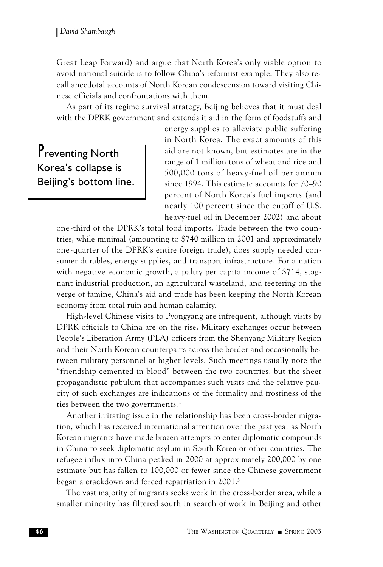Great Leap Forward) and argue that North Korea's only viable option to avoid national suicide is to follow China's reformist example. They also recall anecdotal accounts of North Korean condescension toward visiting Chinese officials and confrontations with them.

As part of its regime survival strategy, Beijing believes that it must deal with the DPRK government and extends it aid in the form of foodstuffs and

Preventing North Korea's collapse is Beijing's bottom line. energy supplies to alleviate public suffering in North Korea. The exact amounts of this aid are not known, but estimates are in the range of 1 million tons of wheat and rice and 500,000 tons of heavy-fuel oil per annum since 1994. This estimate accounts for 70–90 percent of North Korea's fuel imports (and nearly 100 percent since the cutoff of U.S. heavy-fuel oil in December 2002) and about

one-third of the DPRK's total food imports. Trade between the two countries, while minimal (amounting to \$740 million in 2001 and approximately one-quarter of the DPRK's entire foreign trade), does supply needed consumer durables, energy supplies, and transport infrastructure. For a nation with negative economic growth, a paltry per capita income of \$714, stagnant industrial production, an agricultural wasteland, and teetering on the verge of famine, China's aid and trade has been keeping the North Korean economy from total ruin and human calamity.

High-level Chinese visits to Pyongyang are infrequent, although visits by DPRK officials to China are on the rise. Military exchanges occur between People's Liberation Army (PLA) officers from the Shenyang Military Region and their North Korean counterparts across the border and occasionally between military personnel at higher levels. Such meetings usually note the "friendship cemented in blood" between the two countries, but the sheer propagandistic pabulum that accompanies such visits and the relative paucity of such exchanges are indications of the formality and frostiness of the ties between the two governments.<sup>2</sup>

Another irritating issue in the relationship has been cross-border migration, which has received international attention over the past year as North Korean migrants have made brazen attempts to enter diplomatic compounds in China to seek diplomatic asylum in South Korea or other countries. The refugee influx into China peaked in 2000 at approximately 200,000 by one estimate but has fallen to 100,000 or fewer since the Chinese government began a crackdown and forced repatriation in 2001.<sup>3</sup>

The vast majority of migrants seeks work in the cross-border area, while a smaller minority has filtered south in search of work in Beijing and other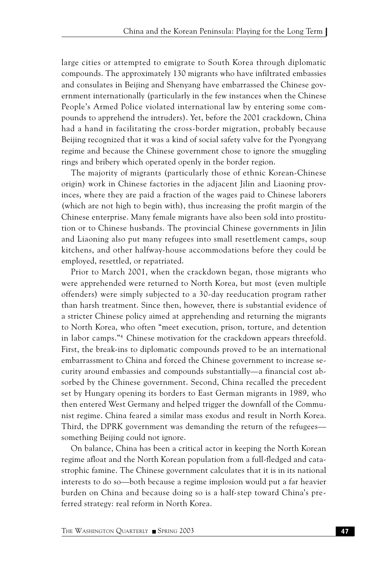large cities or attempted to emigrate to South Korea through diplomatic compounds. The approximately 130 migrants who have infiltrated embassies and consulates in Beijing and Shenyang have embarrassed the Chinese government internationally (particularly in the few instances when the Chinese People's Armed Police violated international law by entering some compounds to apprehend the intruders). Yet, before the 2001 crackdown, China had a hand in facilitating the cross-border migration, probably because Beijing recognized that it was a kind of social safety valve for the Pyongyang regime and because the Chinese government chose to ignore the smuggling rings and bribery which operated openly in the border region.

The majority of migrants (particularly those of ethnic Korean-Chinese origin) work in Chinese factories in the adjacent Jilin and Liaoning provinces, where they are paid a fraction of the wages paid to Chinese laborers (which are not high to begin with), thus increasing the profit margin of the Chinese enterprise. Many female migrants have also been sold into prostitution or to Chinese husbands. The provincial Chinese governments in Jilin and Liaoning also put many refugees into small resettlement camps, soup kitchens, and other halfway-house accommodations before they could be employed, resettled, or repatriated.

Prior to March 2001, when the crackdown began, those migrants who were apprehended were returned to North Korea, but most (even multiple offenders) were simply subjected to a 30-day reeducation program rather than harsh treatment. Since then, however, there is substantial evidence of a stricter Chinese policy aimed at apprehending and returning the migrants to North Korea, who often "meet execution, prison, torture, and detention in labor camps."4 Chinese motivation for the crackdown appears threefold. First, the break-ins to diplomatic compounds proved to be an international embarrassment to China and forced the Chinese government to increase security around embassies and compounds substantially—a financial cost absorbed by the Chinese government. Second, China recalled the precedent set by Hungary opening its borders to East German migrants in 1989, who then entered West Germany and helped trigger the downfall of the Communist regime. China feared a similar mass exodus and result in North Korea. Third, the DPRK government was demanding the return of the refugees something Beijing could not ignore.

On balance, China has been a critical actor in keeping the North Korean regime afloat and the North Korean population from a full-fledged and catastrophic famine. The Chinese government calculates that it is in its national interests to do so—both because a regime implosion would put a far heavier burden on China and because doing so is a half-step toward China's preferred strategy: real reform in North Korea.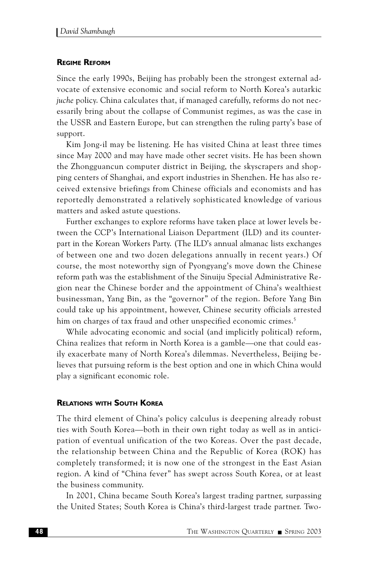#### **REGIME REFORM**

Since the early 1990s, Beijing has probably been the strongest external advocate of extensive economic and social reform to North Korea's autarkic *juche* policy. China calculates that, if managed carefully, reforms do not necessarily bring about the collapse of Communist regimes, as was the case in the USSR and Eastern Europe, but can strengthen the ruling party's base of support.

Kim Jong-il may be listening. He has visited China at least three times since May 2000 and may have made other secret visits. He has been shown the Zhongguancun computer district in Beijing, the skyscrapers and shopping centers of Shanghai, and export industries in Shenzhen. He has also received extensive briefings from Chinese officials and economists and has reportedly demonstrated a relatively sophisticated knowledge of various matters and asked astute questions.

Further exchanges to explore reforms have taken place at lower levels between the CCP's International Liaison Department (ILD) and its counterpart in the Korean Workers Party. (The ILD's annual almanac lists exchanges of between one and two dozen delegations annually in recent years.) Of course, the most noteworthy sign of Pyongyang's move down the Chinese reform path was the establishment of the Sinuiju Special Administrative Region near the Chinese border and the appointment of China's wealthiest businessman, Yang Bin, as the "governor" of the region. Before Yang Bin could take up his appointment, however, Chinese security officials arrested him on charges of tax fraud and other unspecified economic crimes.<sup>5</sup>

While advocating economic and social (and implicitly political) reform, China realizes that reform in North Korea is a gamble—one that could easily exacerbate many of North Korea's dilemmas. Nevertheless, Beijing believes that pursuing reform is the best option and one in which China would play a significant economic role.

#### **RELATIONS WITH SOUTH KOREA**

The third element of China's policy calculus is deepening already robust ties with South Korea—both in their own right today as well as in anticipation of eventual unification of the two Koreas. Over the past decade, the relationship between China and the Republic of Korea (ROK) has completely transformed; it is now one of the strongest in the East Asian region. A kind of "China fever" has swept across South Korea, or at least the business community.

In 2001, China became South Korea's largest trading partner, surpassing the United States; South Korea is China's third-largest trade partner. Two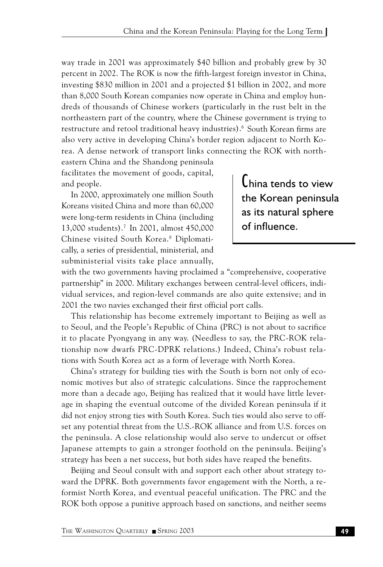way trade in 2001 was approximately \$40 billion and probably grew by 30 percent in 2002. The ROK is now the fifth-largest foreign investor in China, investing \$830 million in 2001 and a projected \$1 billion in 2002, and more than 8,000 South Korean companies now operate in China and employ hundreds of thousands of Chinese workers (particularly in the rust belt in the northeastern part of the country, where the Chinese government is trying to restructure and retool traditional heavy industries).<sup>6</sup> South Korean firms are also very active in developing China's border region adjacent to North Korea. A dense network of transport links connecting the ROK with northeastern China and the Shandong peninsula

facilitates the movement of goods, capital, and people.

In 2000, approximately one million South Koreans visited China and more than 60,000 were long-term residents in China (including 13,000 students).7 In 2001, almost 450,000 Chinese visited South Korea.8 Diplomatically, a series of presidential, ministerial, and subministerial visits take place annually,

# China tends to view the Korean peninsula as its natural sphere of influence.

with the two governments having proclaimed a "comprehensive, cooperative partnership" in 2000. Military exchanges between central-level officers, individual services, and region-level commands are also quite extensive; and in 2001 the two navies exchanged their first official port calls.

This relationship has become extremely important to Beijing as well as to Seoul, and the People's Republic of China (PRC) is not about to sacrifice it to placate Pyongyang in any way. (Needless to say, the PRC-ROK relationship now dwarfs PRC-DPRK relations.) Indeed, China's robust relations with South Korea act as a form of leverage with North Korea.

China's strategy for building ties with the South is born not only of economic motives but also of strategic calculations. Since the rapprochement more than a decade ago, Beijing has realized that it would have little leverage in shaping the eventual outcome of the divided Korean peninsula if it did not enjoy strong ties with South Korea. Such ties would also serve to offset any potential threat from the U.S.-ROK alliance and from U.S. forces on the peninsula. A close relationship would also serve to undercut or offset Japanese attempts to gain a stronger foothold on the peninsula. Beijing's strategy has been a net success, but both sides have reaped the benefits.

Beijing and Seoul consult with and support each other about strategy toward the DPRK. Both governments favor engagement with the North, a reformist North Korea, and eventual peaceful unification. The PRC and the ROK both oppose a punitive approach based on sanctions, and neither seems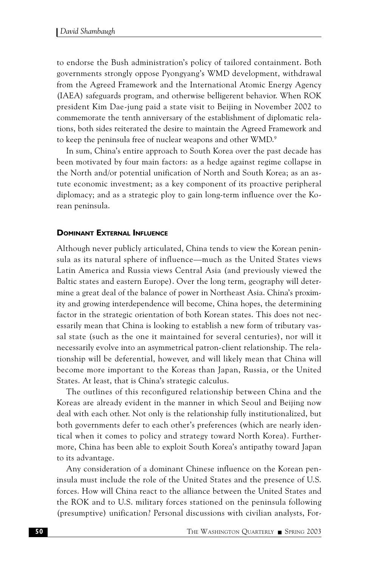to endorse the Bush administration's policy of tailored containment. Both governments strongly oppose Pyongyang's WMD development, withdrawal from the Agreed Framework and the International Atomic Energy Agency (IAEA) safeguards program, and otherwise belligerent behavior. When ROK president Kim Dae-jung paid a state visit to Beijing in November 2002 to commemorate the tenth anniversary of the establishment of diplomatic relations, both sides reiterated the desire to maintain the Agreed Framework and to keep the peninsula free of nuclear weapons and other WMD.<sup>9</sup>

In sum, China's entire approach to South Korea over the past decade has been motivated by four main factors: as a hedge against regime collapse in the North and/or potential unification of North and South Korea; as an astute economic investment; as a key component of its proactive peripheral diplomacy; and as a strategic ploy to gain long-term influence over the Korean peninsula.

#### **DOMINANT EXTERNAL INFLUENCE**

Although never publicly articulated, China tends to view the Korean peninsula as its natural sphere of influence—much as the United States views Latin America and Russia views Central Asia (and previously viewed the Baltic states and eastern Europe). Over the long term, geography will determine a great deal of the balance of power in Northeast Asia. China's proximity and growing interdependence will become, China hopes, the determining factor in the strategic orientation of both Korean states. This does not necessarily mean that China is looking to establish a new form of tributary vassal state (such as the one it maintained for several centuries), nor will it necessarily evolve into an asymmetrical patron-client relationship. The relationship will be deferential, however, and will likely mean that China will become more important to the Koreas than Japan, Russia, or the United States. At least, that is China's strategic calculus.

The outlines of this reconfigured relationship between China and the Koreas are already evident in the manner in which Seoul and Beijing now deal with each other. Not only is the relationship fully institutionalized, but both governments defer to each other's preferences (which are nearly identical when it comes to policy and strategy toward North Korea). Furthermore, China has been able to exploit South Korea's antipathy toward Japan to its advantage.

Any consideration of a dominant Chinese influence on the Korean peninsula must include the role of the United States and the presence of U.S. forces. How will China react to the alliance between the United States and the ROK and to U.S. military forces stationed on the peninsula following (presumptive) unification? Personal discussions with civilian analysts, For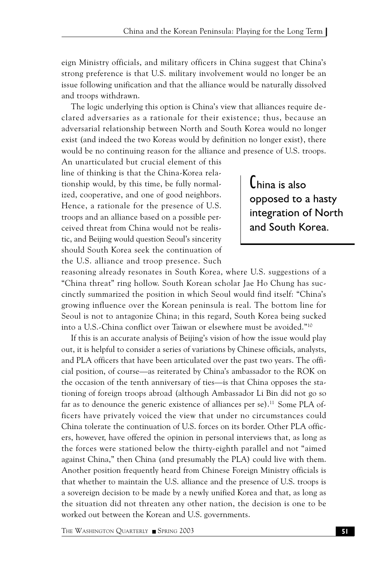eign Ministry officials, and military officers in China suggest that China's strong preference is that U.S. military involvement would no longer be an issue following unification and that the alliance would be naturally dissolved and troops withdrawn.

The logic underlying this option is China's view that alliances require declared adversaries as a rationale for their existence; thus, because an adversarial relationship between North and South Korea would no longer exist (and indeed the two Koreas would by definition no longer exist), there would be no continuing reason for the alliance and presence of U.S. troops.

An unarticulated but crucial element of this line of thinking is that the China-Korea relationship would, by this time, be fully normalized, cooperative, and one of good neighbors. Hence, a rationale for the presence of U.S. troops and an alliance based on a possible perceived threat from China would not be realistic, and Beijing would question Seoul's sincerity should South Korea seek the continuation of the U.S. alliance and troop presence. Such

China is also opposed to a hasty integration of North and South Korea.

reasoning already resonates in South Korea, where U.S. suggestions of a "China threat" ring hollow. South Korean scholar Jae Ho Chung has succinctly summarized the position in which Seoul would find itself: "China's growing influence over the Korean peninsula is real. The bottom line for Seoul is not to antagonize China; in this regard, South Korea being sucked into a U.S.-China conflict over Taiwan or elsewhere must be avoided."10

If this is an accurate analysis of Beijing's vision of how the issue would play out, it is helpful to consider a series of variations by Chinese officials, analysts, and PLA officers that have been articulated over the past two years. The official position, of course—as reiterated by China's ambassador to the ROK on the occasion of the tenth anniversary of ties—is that China opposes the stationing of foreign troops abroad (although Ambassador Li Bin did not go so far as to denounce the generic existence of alliances per se).<sup>11</sup> Some PLA officers have privately voiced the view that under no circumstances could China tolerate the continuation of U.S. forces on its border. Other PLA officers, however, have offered the opinion in personal interviews that, as long as the forces were stationed below the thirty-eighth parallel and not "aimed against China," then China (and presumably the PLA) could live with them. Another position frequently heard from Chinese Foreign Ministry officials is that whether to maintain the U.S. alliance and the presence of U.S. troops is a sovereign decision to be made by a newly unified Korea and that, as long as the situation did not threaten any other nation, the decision is one to be worked out between the Korean and U.S. governments.

THE WASHINGTON QUARTERLY **BERRING 2003**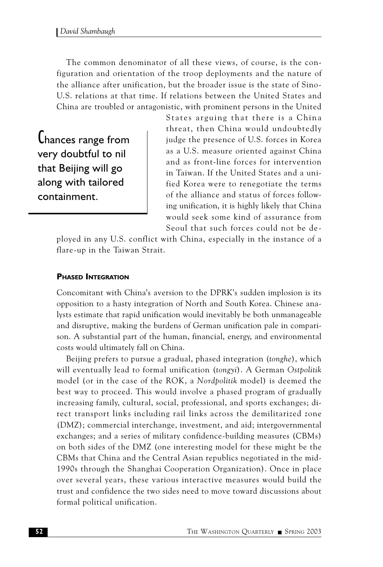The common denominator of all these views, of course, is the configuration and orientation of the troop deployments and the nature of the alliance after unification, but the broader issue is the state of Sino-U.S. relations at that time. If relations between the United States and China are troubled or antagonistic, with prominent persons in the United

Chances range from very doubtful to nil that Beijing will go along with tailored containment.

States arguing that there is a China threat, then China would undoubtedly judge the presence of U.S. forces in Korea as a U.S. measure oriented against China and as front-line forces for intervention in Taiwan. If the United States and a unified Korea were to renegotiate the terms of the alliance and status of forces following unification, it is highly likely that China would seek some kind of assurance from Seoul that such forces could not be de-

ployed in any U.S. conflict with China, especially in the instance of a flare-up in the Taiwan Strait.

#### **PHASED INTEGRATION**

Concomitant with China's aversion to the DPRK's sudden implosion is its opposition to a hasty integration of North and South Korea. Chinese analysts estimate that rapid unification would inevitably be both unmanageable and disruptive, making the burdens of German unification pale in comparison. A substantial part of the human, financial, energy, and environmental costs would ultimately fall on China.

Beijing prefers to pursue a gradual, phased integration (*tonghe*), which will eventually lead to formal unification (*tongyi*). A German *Ostpolitik* model (or in the case of the ROK, a *Nordpolitik* model) is deemed the best way to proceed. This would involve a phased program of gradually increasing family, cultural, social, professional, and sports exchanges; direct transport links including rail links across the demilitarized zone (DMZ); commercial interchange, investment, and aid; intergovernmental exchanges; and a series of military confidence-building measures (CBMs) on both sides of the DMZ (one interesting model for these might be the CBMs that China and the Central Asian republics negotiated in the mid-1990s through the Shanghai Cooperation Organization). Once in place over several years, these various interactive measures would build the trust and confidence the two sides need to move toward discussions about formal political unification.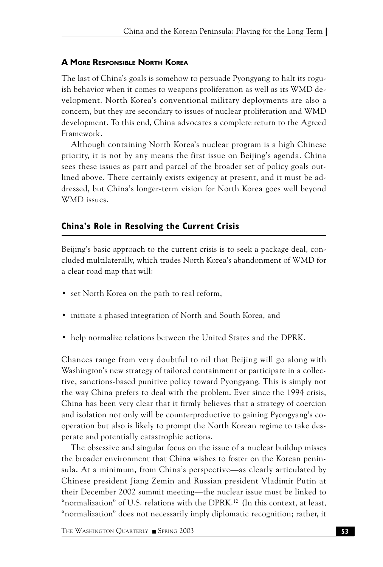#### **A MORE RESPONSIBLE NORTH KOREA**

The last of China's goals is somehow to persuade Pyongyang to halt its roguish behavior when it comes to weapons proliferation as well as its WMD development. North Korea's conventional military deployments are also a concern, but they are secondary to issues of nuclear proliferation and WMD development. To this end, China advocates a complete return to the Agreed Framework.

Although containing North Korea's nuclear program is a high Chinese priority, it is not by any means the first issue on Beijing's agenda. China sees these issues as part and parcel of the broader set of policy goals outlined above. There certainly exists exigency at present, and it must be addressed, but China's longer-term vision for North Korea goes well beyond WMD issues.

### **China's Role in Resolving the Current Crisis**

Beijing's basic approach to the current crisis is to seek a package deal, concluded multilaterally, which trades North Korea's abandonment of WMD for a clear road map that will:

- set North Korea on the path to real reform,
- initiate a phased integration of North and South Korea, and
- help normalize relations between the United States and the DPRK.

Chances range from very doubtful to nil that Beijing will go along with Washington's new strategy of tailored containment or participate in a collective, sanctions-based punitive policy toward Pyongyang. This is simply not the way China prefers to deal with the problem. Ever since the 1994 crisis, China has been very clear that it firmly believes that a strategy of coercion and isolation not only will be counterproductive to gaining Pyongyang's cooperation but also is likely to prompt the North Korean regime to take desperate and potentially catastrophic actions.

The obsessive and singular focus on the issue of a nuclear buildup misses the broader environment that China wishes to foster on the Korean peninsula. At a minimum, from China's perspective—as clearly articulated by Chinese president Jiang Zemin and Russian president Vladimir Putin at their December 2002 summit meeting—the nuclear issue must be linked to "normalization" of U.S. relations with the DPRK.<sup>12</sup> (In this context, at least, "normalization" does not necessarily imply diplomatic recognition; rather, it

THE WASHINGTON QUARTERLY **BERING 2003**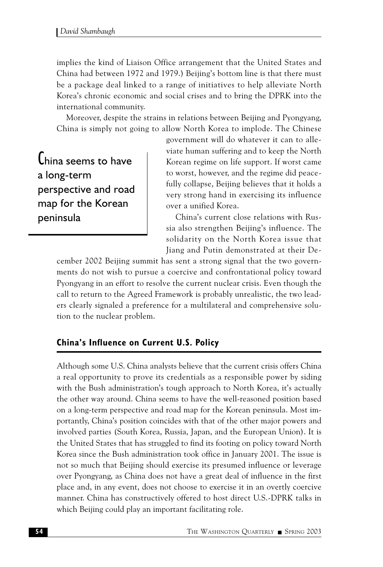implies the kind of Liaison Office arrangement that the United States and China had between 1972 and 1979.) Beijing's bottom line is that there must be a package deal linked to a range of initiatives to help alleviate North Korea's chronic economic and social crises and to bring the DPRK into the international community.

Moreover, despite the strains in relations between Beijing and Pyongyang, China is simply not going to allow North Korea to implode. The Chinese

China seems to have a long-term perspective and road map for the Korean peninsula

government will do whatever it can to alleviate human suffering and to keep the North Korean regime on life support. If worst came to worst, however, and the regime did peacefully collapse, Beijing believes that it holds a very strong hand in exercising its influence over a unified Korea.

China's current close relations with Russia also strengthen Beijing's influence. The solidarity on the North Korea issue that Jiang and Putin demonstrated at their De-

cember 2002 Beijing summit has sent a strong signal that the two governments do not wish to pursue a coercive and confrontational policy toward Pyongyang in an effort to resolve the current nuclear crisis. Even though the call to return to the Agreed Framework is probably unrealistic, the two leaders clearly signaled a preference for a multilateral and comprehensive solution to the nuclear problem.

# **China's Influence on Current U.S. Policy**

Although some U.S. China analysts believe that the current crisis offers China a real opportunity to prove its credentials as a responsible power by siding with the Bush administration's tough approach to North Korea, it's actually the other way around. China seems to have the well-reasoned position based on a long-term perspective and road map for the Korean peninsula. Most importantly, China's position coincides with that of the other major powers and involved parties (South Korea, Russia, Japan, and the European Union). It is the United States that has struggled to find its footing on policy toward North Korea since the Bush administration took office in January 2001. The issue is not so much that Beijing should exercise its presumed influence or leverage over Pyongyang, as China does not have a great deal of influence in the first place and, in any event, does not choose to exercise it in an overtly coercive manner. China has constructively offered to host direct U.S.-DPRK talks in which Beijing could play an important facilitating role.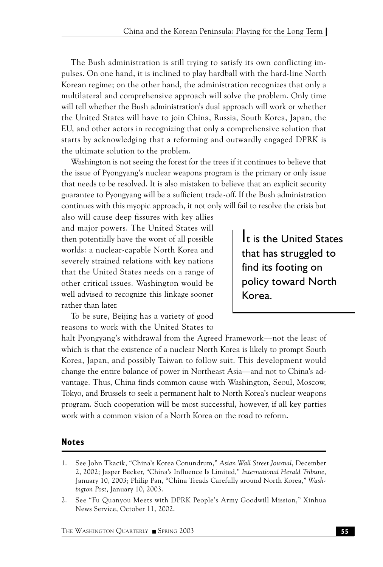The Bush administration is still trying to satisfy its own conflicting impulses. On one hand, it is inclined to play hardball with the hard-line North Korean regime; on the other hand, the administration recognizes that only a multilateral and comprehensive approach will solve the problem. Only time will tell whether the Bush administration's dual approach will work or whether the United States will have to join China, Russia, South Korea, Japan, the EU, and other actors in recognizing that only a comprehensive solution that starts by acknowledging that a reforming and outwardly engaged DPRK is the ultimate solution to the problem.

Washington is not seeing the forest for the trees if it continues to believe that the issue of Pyongyang's nuclear weapons program is the primary or only issue that needs to be resolved. It is also mistaken to believe that an explicit security guarantee to Pyongyang will be a sufficient trade-off. If the Bush administration continues with this myopic approach, it not only will fail to resolve the crisis but

also will cause deep fissures with key allies and major powers. The United States will then potentially have the worst of all possible worlds: a nuclear-capable North Korea and severely strained relations with key nations that the United States needs on a range of other critical issues. Washington would be well advised to recognize this linkage sooner rather than later.

It is the United States that has struggled to find its footing on policy toward North Korea.

To be sure, Beijing has a variety of good reasons to work with the United States to

halt Pyongyang's withdrawal from the Agreed Framework—not the least of which is that the existence of a nuclear North Korea is likely to prompt South Korea, Japan, and possibly Taiwan to follow suit. This development would change the entire balance of power in Northeast Asia—and not to China's advantage. Thus, China finds common cause with Washington, Seoul, Moscow, Tokyo, and Brussels to seek a permanent halt to North Korea's nuclear weapons program. Such cooperation will be most successful, however, if all key parties work with a common vision of a North Korea on the road to reform.

#### **Notes**

<sup>1.</sup> See John Tkacik, "China's Korea Conundrum," *Asian Wall Street Journal*, December 2, 2002; Jasper Becker, "China's Influence Is Limited," *International Herald Tribune*, January 10, 2003; Philip Pan, "China Treads Carefully around North Korea," *Washington Post*, January 10, 2003.

<sup>2.</sup> See "Fu Quanyou Meets with DPRK People's Army Goodwill Mission," Xinhua News Service, October 11, 2002.